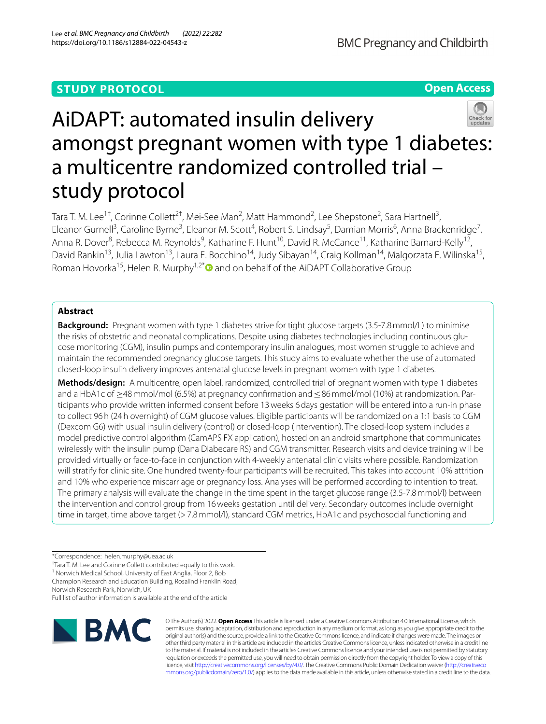# **STUDY PROTOCOL**

**Open Access**



Tara T. M. Lee<sup>1†</sup>, Corinne Collett<sup>2†</sup>, Mei-See Man<sup>2</sup>, Matt Hammond<sup>2</sup>, Lee Shepstone<sup>2</sup>, Sara Hartnell<sup>3</sup>, Eleanor Gurnell<sup>3</sup>, Caroline Byrne<sup>3</sup>, Eleanor M. Scott<sup>4</sup>, Robert S. Lindsay<sup>5</sup>, Damian Morris<sup>6</sup>, Anna Brackenridge<sup>7</sup>, Anna R. Dover<sup>8</sup>, Rebecca M. Reynolds<sup>9</sup>, Katharine F. Hunt<sup>10</sup>, David R. McCance<sup>11</sup>, Katharine Barnard-Kelly<sup>12</sup>, David Rankin<sup>13</sup>, Julia Lawton<sup>13</sup>, Laura E. Bocchino<sup>14</sup>, Judy Sibayan<sup>14</sup>, Craig Kollman<sup>14</sup>, Malgorzata E. Wilinska<sup>15</sup>, Roman Hovorka<sup>15</sup>, Helen R. Murphy<sup>1,2[\\*](http://orcid.org/0000-0002-5489-0614)</sup> and on behalf of the AiDAPT Collaborative Group

# **Abstract**

**Background:** Pregnant women with type 1 diabetes strive for tight glucose targets (3.5-7.8mmol/L) to minimise the risks of obstetric and neonatal complications. Despite using diabetes technologies including continuous glucose monitoring (CGM), insulin pumps and contemporary insulin analogues, most women struggle to achieve and maintain the recommended pregnancy glucose targets. This study aims to evaluate whether the use of automated closed-loop insulin delivery improves antenatal glucose levels in pregnant women with type 1 diabetes.

**Methods/design:** A multicentre, open label, randomized, controlled trial of pregnant women with type 1 diabetes and a HbA1c of ≥48 mmol/mol (6.5%) at pregnancy confirmation and ≤86 mmol/mol (10%) at randomization. Participants who provide written informed consent before 13weeks 6days gestation will be entered into a run-in phase to collect 96h (24h overnight) of CGM glucose values. Eligible participants will be randomized on a 1:1 basis to CGM (Dexcom G6) with usual insulin delivery (control) or closed-loop (intervention). The closed-loop system includes a model predictive control algorithm (CamAPS FX application), hosted on an android smartphone that communicates wirelessly with the insulin pump (Dana Diabecare RS) and CGM transmitter. Research visits and device training will be provided virtually or face-to-face in conjunction with 4-weekly antenatal clinic visits where possible. Randomization will stratify for clinic site. One hundred twenty-four participants will be recruited. This takes into account 10% attrition and 10% who experience miscarriage or pregnancy loss. Analyses will be performed according to intention to treat. The primary analysis will evaluate the change in the time spent in the target glucose range (3.5-7.8mmol/l) between the intervention and control group from 16weeks gestation until delivery. Secondary outcomes include overnight time in target, time above target (>7.8mmol/l), standard CGM metrics, HbA1c and psychosocial functioning and

<sup>1</sup> Norwich Medical School, University of East Anglia, Floor 2, Bob

Champion Research and Education Building, Rosalind Franklin Road, Norwich Research Park, Norwich, UK

Full list of author information is available at the end of the article



© The Author(s) 2022. **Open Access** This article is licensed under a Creative Commons Attribution 4.0 International License, which permits use, sharing, adaptation, distribution and reproduction in any medium or format, as long as you give appropriate credit to the original author(s) and the source, provide a link to the Creative Commons licence, and indicate if changes were made. The images or other third party material in this article are included in the article's Creative Commons licence, unless indicated otherwise in a credit line to the material. If material is not included in the article's Creative Commons licence and your intended use is not permitted by statutory regulation or exceeds the permitted use, you will need to obtain permission directly from the copyright holder. To view a copy of this licence, visit [http://creativecommons.org/licenses/by/4.0/.](http://creativecommons.org/licenses/by/4.0/) The Creative Commons Public Domain Dedication waiver ([http://creativeco](http://creativecommons.org/publicdomain/zero/1.0/) [mmons.org/publicdomain/zero/1.0/](http://creativecommons.org/publicdomain/zero/1.0/)) applies to the data made available in this article, unless otherwise stated in a credit line to the data.

<sup>\*</sup>Correspondence: helen.murphy@uea.ac.uk

<sup>†</sup> Tara T. M. Lee and Corinne Collett contributed equally to this work.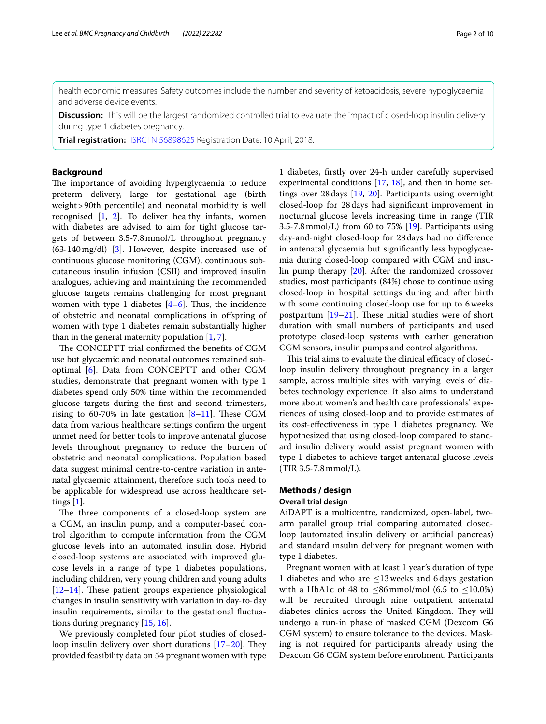health economic measures. Safety outcomes include the number and severity of ketoacidosis, severe hypoglycaemia and adverse device events.

**Discussion:** This will be the largest randomized controlled trial to evaluate the impact of closed-loop insulin delivery during type 1 diabetes pregnancy.

**Trial registration:** [ISRCTN 56898625](http://www.isrctn.com/ISRCTN56898625) Registration Date: 10 April, 2018.

### **Background**

The importance of avoiding hyperglycaemia to reduce preterm delivery, large for gestational age (birth weight>90th percentile) and neonatal morbidity is well recognised [\[1,](#page-8-0) [2\]](#page-8-1). To deliver healthy infants, women with diabetes are advised to aim for tight glucose targets of between 3.5-7.8mmol/L throughout pregnancy (63-140mg/dl) [\[3](#page-8-2)]. However, despite increased use of continuous glucose monitoring (CGM), continuous subcutaneous insulin infusion (CSII) and improved insulin analogues, achieving and maintaining the recommended glucose targets remains challenging for most pregnant women with type 1 diabetes  $[4-6]$  $[4-6]$ . Thus, the incidence of obstetric and neonatal complications in ofspring of women with type 1 diabetes remain substantially higher than in the general maternity population  $[1, 7]$  $[1, 7]$  $[1, 7]$  $[1, 7]$ .

The CONCEPTT trial confirmed the benefits of CGM use but glycaemic and neonatal outcomes remained suboptimal [\[6](#page-8-4)]. Data from CONCEPTT and other CGM studies, demonstrate that pregnant women with type 1 diabetes spend only 50% time within the recommended glucose targets during the frst and second trimesters, rising to 60-70% in late gestation  $[8-11]$  $[8-11]$ . These CGM data from various healthcare settings confrm the urgent unmet need for better tools to improve antenatal glucose levels throughout pregnancy to reduce the burden of obstetric and neonatal complications. Population based data suggest minimal centre-to-centre variation in antenatal glycaemic attainment, therefore such tools need to be applicable for widespread use across healthcare settings [\[1](#page-8-0)].

The three components of a closed-loop system are a CGM, an insulin pump, and a computer-based control algorithm to compute information from the CGM glucose levels into an automated insulin dose. Hybrid closed-loop systems are associated with improved glucose levels in a range of type 1 diabetes populations, including children, very young children and young adults  $[12–14]$  $[12–14]$  $[12–14]$  $[12–14]$ . These patient groups experience physiological changes in insulin sensitivity with variation in day-to-day insulin requirements, similar to the gestational fuctuations during pregnancy [\[15,](#page-8-10) [16](#page-8-11)].

We previously completed four pilot studies of closedloop insulin delivery over short durations  $[17–20]$  $[17–20]$  $[17–20]$ . They provided feasibility data on 54 pregnant women with type

1 diabetes, frstly over 24-h under carefully supervised experimental conditions [\[17](#page-8-12), [18\]](#page-9-1), and then in home settings over 28days [[19,](#page-9-2) [20\]](#page-9-0). Participants using overnight closed-loop for 28days had signifcant improvement in nocturnal glucose levels increasing time in range (TIR 3.5-7.8mmol/L) from 60 to 75% [\[19](#page-9-2)]. Participants using day-and-night closed-loop for 28days had no diference in antenatal glycaemia but signifcantly less hypoglycaemia during closed-loop compared with CGM and insulin pump therapy [\[20\]](#page-9-0). After the randomized crossover studies, most participants (84%) chose to continue using closed-loop in hospital settings during and after birth with some continuing closed-loop use for up to 6weeks postpartum  $[19-21]$  $[19-21]$  $[19-21]$ . These initial studies were of short duration with small numbers of participants and used prototype closed-loop systems with earlier generation CGM sensors, insulin pumps and control algorithms.

This trial aims to evaluate the clinical efficacy of closedloop insulin delivery throughout pregnancy in a larger sample, across multiple sites with varying levels of diabetes technology experience. It also aims to understand more about women's and health care professionals' experiences of using closed-loop and to provide estimates of its cost-efectiveness in type 1 diabetes pregnancy. We hypothesized that using closed-loop compared to standard insulin delivery would assist pregnant women with type 1 diabetes to achieve target antenatal glucose levels (TIR 3.5-7.8mmol/L).

# **Methods / design**

# **Overall trial design**

AiDAPT is a multicentre, randomized, open-label, twoarm parallel group trial comparing automated closedloop (automated insulin delivery or artifcial pancreas) and standard insulin delivery for pregnant women with type 1 diabetes.

Pregnant women with at least 1 year's duration of type 1 diabetes and who are  $\leq$ 13 weeks and 6 days gestation with a HbA1c of 48 to  $\leq 86$  mmol/mol (6.5 to  $\leq 10.0\%$ ) will be recruited through nine outpatient antenatal diabetes clinics across the United Kingdom. They will undergo a run-in phase of masked CGM (Dexcom G6 CGM system) to ensure tolerance to the devices. Masking is not required for participants already using the Dexcom G6 CGM system before enrolment. Participants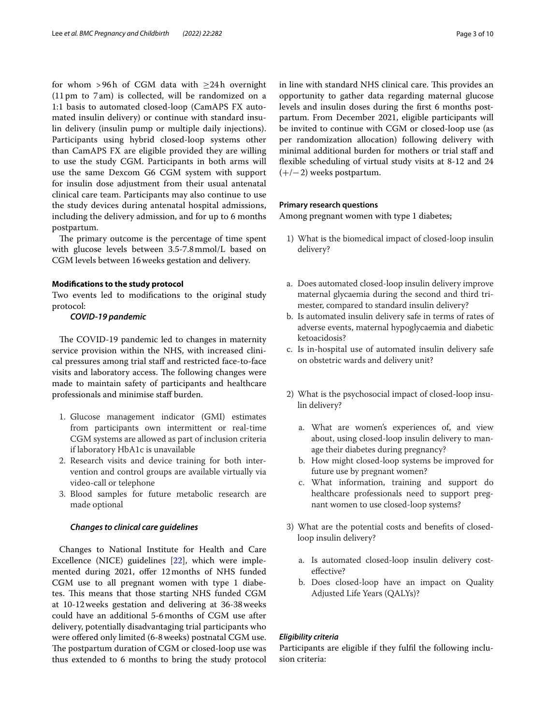for whom >96h of CGM data with  $\geq$ 24h overnight (11 pm to 7 am) is collected, will be randomized on a 1:1 basis to automated closed-loop (CamAPS FX automated insulin delivery) or continue with standard insulin delivery (insulin pump or multiple daily injections). Participants using hybrid closed-loop systems other than CamAPS FX are eligible provided they are willing to use the study CGM. Participants in both arms will use the same Dexcom G6 CGM system with support for insulin dose adjustment from their usual antenatal clinical care team. Participants may also continue to use the study devices during antenatal hospital admissions, including the delivery admission, and for up to 6 months postpartum.

The primary outcome is the percentage of time spent with glucose levels between 3.5-7.8mmol/L based on CGM levels between 16weeks gestation and delivery.

#### **Modifcations to the study protocol**

Two events led to modifcations to the original study protocol:

### *COVID-19 pandemic*

The COVID-19 pandemic led to changes in maternity service provision within the NHS, with increased clinical pressures among trial staf and restricted face-to-face visits and laboratory access. The following changes were made to maintain safety of participants and healthcare professionals and minimise staf burden.

- 1. Glucose management indicator (GMI) estimates from participants own intermittent or real-time CGM systems are allowed as part of inclusion criteria if laboratory HbA1c is unavailable
- 2. Research visits and device training for both intervention and control groups are available virtually via video-call or telephone
- 3. Blood samples for future metabolic research are made optional

### *Changes to clinical care guidelines*

Changes to National Institute for Health and Care Excellence (NICE) guidelines [\[22\]](#page-9-4), which were implemented during 2021, offer 12 months of NHS funded CGM use to all pregnant women with type 1 diabetes. This means that those starting NHS funded CGM at 10-12weeks gestation and delivering at 36-38weeks could have an additional 5-6months of CGM use after delivery, potentially disadvantaging trial participants who were offered only limited (6-8 weeks) postnatal CGM use. The postpartum duration of CGM or closed-loop use was thus extended to 6 months to bring the study protocol in line with standard NHS clinical care. This provides an opportunity to gather data regarding maternal glucose levels and insulin doses during the frst 6 months postpartum. From December 2021, eligible participants will be invited to continue with CGM or closed-loop use (as per randomization allocation) following delivery with minimal additional burden for mothers or trial staff and fexible scheduling of virtual study visits at 8-12 and 24  $(+/-2)$  weeks postpartum.

### **Primary research questions**

Among pregnant women with type 1 diabetes;

- 1) What is the biomedical impact of closed-loop insulin delivery?
- a. Does automated closed-loop insulin delivery improve maternal glycaemia during the second and third trimester, compared to standard insulin delivery?
- b. Is automated insulin delivery safe in terms of rates of adverse events, maternal hypoglycaemia and diabetic ketoacidosis?
- c. Is in-hospital use of automated insulin delivery safe on obstetric wards and delivery unit?
- 2) What is the psychosocial impact of closed-loop insulin delivery?
	- a. What are women's experiences of, and view about, using closed-loop insulin delivery to manage their diabetes during pregnancy?
	- b. How might closed-loop systems be improved for future use by pregnant women?
	- c. What information, training and support do healthcare professionals need to support pregnant women to use closed-loop systems?
- 3) What are the potential costs and benefts of closedloop insulin delivery?
	- a. Is automated closed-loop insulin delivery costefective?
	- b. Does closed-loop have an impact on Quality Adjusted Life Years (QALYs)?

### *Eligibility criteria*

Participants are eligible if they fulfl the following inclusion criteria: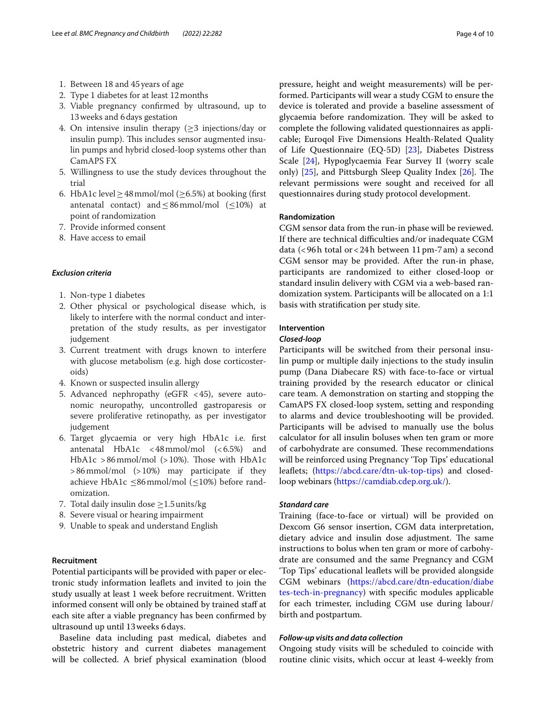- 1. Between 18 and 45 years of age
- 2. Type 1 diabetes for at least 12months
- 3. Viable pregnancy confrmed by ultrasound, up to 13weeks and 6days gestation
- 4. On intensive insulin therapy  $(\geq 3$  injections/day or insulin pump). This includes sensor augmented insulin pumps and hybrid closed-loop systems other than CamAPS FX
- 5. Willingness to use the study devices throughout the trial
- 6. HbA1c level  $\geq$  48 mmol/mol ( $\geq$ 6.5%) at booking (first antenatal contact) and  $\leq$  86 mmol/mol ( $\leq$ 10%) at point of randomization
- 7. Provide informed consent
- 8. Have access to email

### *Exclusion criteria*

- 1. Non-type 1 diabetes
- 2. Other physical or psychological disease which, is likely to interfere with the normal conduct and interpretation of the study results, as per investigator judgement
- 3. Current treatment with drugs known to interfere with glucose metabolism (e.g. high dose corticosteroids)
- 4. Known or suspected insulin allergy
- 5. Advanced nephropathy (eGFR <45), severe autonomic neuropathy, uncontrolled gastroparesis or severe proliferative retinopathy, as per investigator judgement
- 6. Target glycaemia or very high HbA1c i.e. frst antenatal HbA1c <48mmol/mol (<6.5%) and HbA1c >86mmol/mol (>10%). Those with HbA1c >86mmol/mol (>10%) may participate if they achieve HbA1c ≤86mmol/mol (≤10%) before randomization.
- 7. Total daily insulin dose  $\geq$  1.5 units/kg
- 8. Severe visual or hearing impairment
- 9. Unable to speak and understand English

## **Recruitment**

Potential participants will be provided with paper or electronic study information leafets and invited to join the study usually at least 1 week before recruitment. Written informed consent will only be obtained by trained staf at each site after a viable pregnancy has been confrmed by ultrasound up until 13weeks 6days.

Baseline data including past medical, diabetes and obstetric history and current diabetes management will be collected. A brief physical examination (blood

pressure, height and weight measurements) will be performed. Participants will wear a study CGM to ensure the device is tolerated and provide a baseline assessment of glycaemia before randomization. They will be asked to complete the following validated questionnaires as applicable; Euroqol Five Dimensions Health-Related Quality of Life Questionnaire (EQ-5D) [\[23](#page-9-5)], Diabetes Distress Scale [[24](#page-9-6)], Hypoglycaemia Fear Survey II (worry scale only)  $[25]$ , and Pittsburgh Sleep Quality Index  $[26]$  $[26]$  $[26]$ . The relevant permissions were sought and received for all questionnaires during study protocol development.

#### **Randomization**

CGM sensor data from the run-in phase will be reviewed. If there are technical difficulties and/or inadequate CGM data (<96h total or<24h between 11pm-7am) a second CGM sensor may be provided. After the run-in phase, participants are randomized to either closed-loop or standard insulin delivery with CGM via a web-based randomization system. Participants will be allocated on a 1:1 basis with stratifcation per study site.

# **Intervention**

### *Closed-loop*

Participants will be switched from their personal insulin pump or multiple daily injections to the study insulin pump (Dana Diabecare RS) with face-to-face or virtual training provided by the research educator or clinical care team. A demonstration on starting and stopping the CamAPS FX closed-loop system, setting and responding to alarms and device troubleshooting will be provided. Participants will be advised to manually use the bolus calculator for all insulin boluses when ten gram or more of carbohydrate are consumed. These recommendations will be reinforced using Pregnancy 'Top Tips' educational leaflets; [\(https://abcd.care/dtn-uk-top-tips\)](https://abcd.care/dtn-uk-top-tips) and closedloop webinars [\(https://camdiab.cdep.org.uk/](https://camdiab.cdep.org.uk/)).

### *Standard care*

Training (face-to-face or virtual) will be provided on Dexcom G6 sensor insertion, CGM data interpretation, dietary advice and insulin dose adjustment. The same instructions to bolus when ten gram or more of carbohydrate are consumed and the same Pregnancy and CGM 'Top Tips' educational leafets will be provided alongside CGM webinars [\(https://abcd.care/dtn-education/diabe](https://abcd.care/dtn-education/diabetes-tech-in-pregnancy) [tes-tech-in-pregnancy\)](https://abcd.care/dtn-education/diabetes-tech-in-pregnancy) with specifc modules applicable for each trimester, including CGM use during labour/ birth and postpartum.

### *Follow-up visits and data collection*

Ongoing study visits will be scheduled to coincide with routine clinic visits, which occur at least 4-weekly from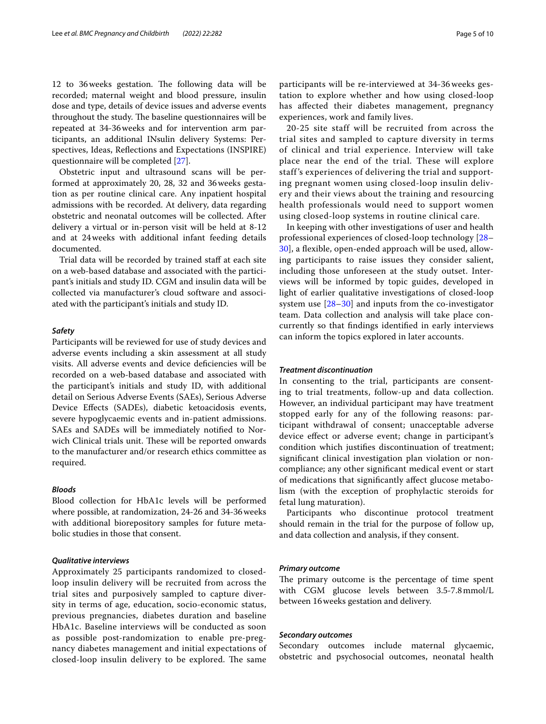12 to 36 weeks gestation. The following data will be recorded; maternal weight and blood pressure, insulin dose and type, details of device issues and adverse events throughout the study. The baseline questionnaires will be repeated at 34-36weeks and for intervention arm participants, an additional INsulin delivery Systems: Perspectives, Ideas, Refections and Expectations (INSPIRE) questionnaire will be completed [[27\]](#page-9-9).

Obstetric input and ultrasound scans will be performed at approximately 20, 28, 32 and 36weeks gestation as per routine clinical care. Any inpatient hospital admissions with be recorded. At delivery, data regarding obstetric and neonatal outcomes will be collected. After delivery a virtual or in-person visit will be held at 8-12 and at 24weeks with additional infant feeding details documented.

Trial data will be recorded by trained staff at each site on a web-based database and associated with the participant's initials and study ID. CGM and insulin data will be collected via manufacturer's cloud software and associated with the participant's initials and study ID.

#### *Safety*

Participants will be reviewed for use of study devices and adverse events including a skin assessment at all study visits. All adverse events and device defciencies will be recorded on a web-based database and associated with the participant's initials and study ID, with additional detail on Serious Adverse Events (SAEs), Serious Adverse Device Efects (SADEs), diabetic ketoacidosis events, severe hypoglycaemic events and in-patient admissions. SAEs and SADEs will be immediately notifed to Norwich Clinical trials unit. These will be reported onwards to the manufacturer and/or research ethics committee as required.

### *Bloods*

Blood collection for HbA1c levels will be performed where possible, at randomization, 24-26 and 34-36weeks with additional biorepository samples for future metabolic studies in those that consent.

### *Qualitative interviews*

Approximately 25 participants randomized to closedloop insulin delivery will be recruited from across the trial sites and purposively sampled to capture diversity in terms of age, education, socio-economic status, previous pregnancies, diabetes duration and baseline HbA1c. Baseline interviews will be conducted as soon as possible post-randomization to enable pre-pregnancy diabetes management and initial expectations of closed-loop insulin delivery to be explored. The same participants will be re-interviewed at 34-36 weeks gestation to explore whether and how using closed-loop has afected their diabetes management, pregnancy experiences, work and family lives.

20-25 site staff will be recruited from across the trial sites and sampled to capture diversity in terms of clinical and trial experience. Interview will take place near the end of the trial. These will explore staff 's experiences of delivering the trial and supporting pregnant women using closed-loop insulin delivery and their views about the training and resourcing health professionals would need to support women using closed-loop systems in routine clinical care.

In keeping with other investigations of user and health professional experiences of closed-loop technology [[28–](#page-9-10) [30\]](#page-9-11), a flexible, open-ended approach will be used, allowing participants to raise issues they consider salient, including those unforeseen at the study outset. Interviews will be informed by topic guides, developed in light of earlier qualitative investigations of closed-loop system use  $[28-30]$  $[28-30]$  and inputs from the co-investigator team. Data collection and analysis will take place concurrently so that fndings identifed in early interviews can inform the topics explored in later accounts.

### *Treatment discontinuation*

In consenting to the trial, participants are consenting to trial treatments, follow-up and data collection. However, an individual participant may have treatment stopped early for any of the following reasons: participant withdrawal of consent; unacceptable adverse device efect or adverse event; change in participant's condition which justifes discontinuation of treatment; signifcant clinical investigation plan violation or noncompliance; any other signifcant medical event or start of medications that signifcantly afect glucose metabolism (with the exception of prophylactic steroids for fetal lung maturation).

Participants who discontinue protocol treatment should remain in the trial for the purpose of follow up, and data collection and analysis, if they consent.

#### *Primary outcome*

The primary outcome is the percentage of time spent with CGM glucose levels between 3.5-7.8mmol/L between 16weeks gestation and delivery.

### *Secondary outcomes*

Secondary outcomes include maternal glycaemic, obstetric and psychosocial outcomes, neonatal health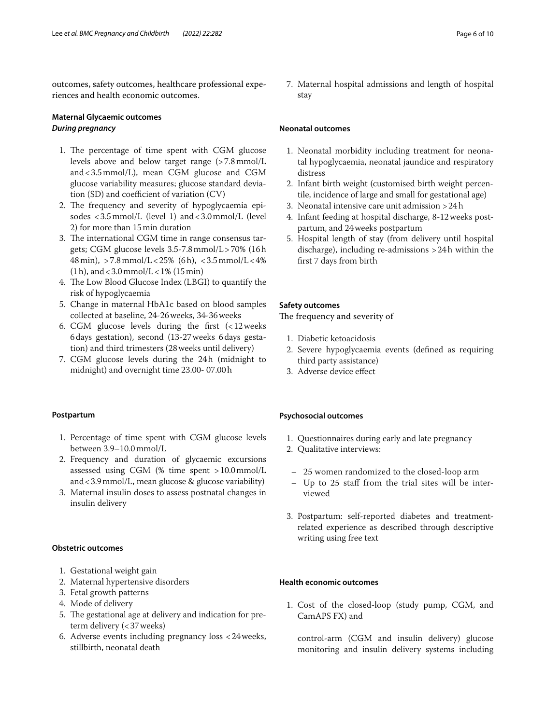outcomes, safety outcomes, healthcare professional experiences and health economic outcomes.

# **Maternal Glycaemic outcomes** *During pregnancy*

- 1. The percentage of time spent with CGM glucose levels above and below target range (>7.8mmol/L and<3.5mmol/L), mean CGM glucose and CGM glucose variability measures; glucose standard deviation (SD) and coefficient of variation  $(CV)$
- 2. The frequency and severity of hypoglycaemia episodes <3.5mmol/L (level 1) and<3.0mmol/L (level 2) for more than 15min duration
- 3. The international CGM time in range consensus targets; CGM glucose levels 3.5-7.8mmol/L>70% (16h 48min), >7.8mmol/L<25% (6h), <3.5mmol/L<4%  $(1h)$ , and < 3.0 mmol/L < 1%  $(15 \text{ min})$
- 4. The Low Blood Glucose Index (LBGI) to quantify the risk of hypoglycaemia
- 5. Change in maternal HbA1c based on blood samples collected at baseline, 24-26weeks, 34-36weeks
- 6. CGM glucose levels during the frst (<12weeks 6days gestation), second (13-27weeks 6days gestation) and third trimesters (28weeks until delivery)
- 7. CGM glucose levels during the 24h (midnight to midnight) and overnight time 23.00- 07.00h

### **Postpartum**

- 1. Percentage of time spent with CGM glucose levels between 3.9–10.0mmol/L
- 2. Frequency and duration of glycaemic excursions assessed using CGM (% time spent >10.0mmol/L and<3.9mmol/L, mean glucose & glucose variability)
- 3. Maternal insulin doses to assess postnatal changes in insulin delivery

### **Obstetric outcomes**

- 1. Gestational weight gain
- 2. Maternal hypertensive disorders
- 3. Fetal growth patterns
- 4. Mode of delivery
- 5. The gestational age at delivery and indication for preterm delivery (<37weeks)
- 6. Adverse events including pregnancy loss <24weeks, stillbirth, neonatal death

7. Maternal hospital admissions and length of hospital stay

## **Neonatal outcomes**

- 1. Neonatal morbidity including treatment for neonatal hypoglycaemia, neonatal jaundice and respiratory distress
- 2. Infant birth weight (customised birth weight percentile, incidence of large and small for gestational age)
- 3. Neonatal intensive care unit admission >24h
- 4. Infant feeding at hospital discharge, 8-12weeks postpartum, and 24weeks postpartum
- 5. Hospital length of stay (from delivery until hospital discharge), including re-admissions >24h within the frst 7 days from birth

## **Safety outcomes**

The frequency and severity of

- 1. Diabetic ketoacidosis
- 2. Severe hypoglycaemia events (defned as requiring third party assistance)
- 3. Adverse device efect

### **Psychosocial outcomes**

- 1. Questionnaires during early and late pregnancy
- 2. Qualitative interviews:
- 25 women randomized to the closed-loop arm
- Up to 25 staf from the trial sites will be interviewed
- 3. Postpartum: self-reported diabetes and treatmentrelated experience as described through descriptive writing using free text

## **Health economic outcomes**

1. Cost of the closed-loop (study pump, CGM, and CamAPS FX) and

control-arm (CGM and insulin delivery) glucose monitoring and insulin delivery systems including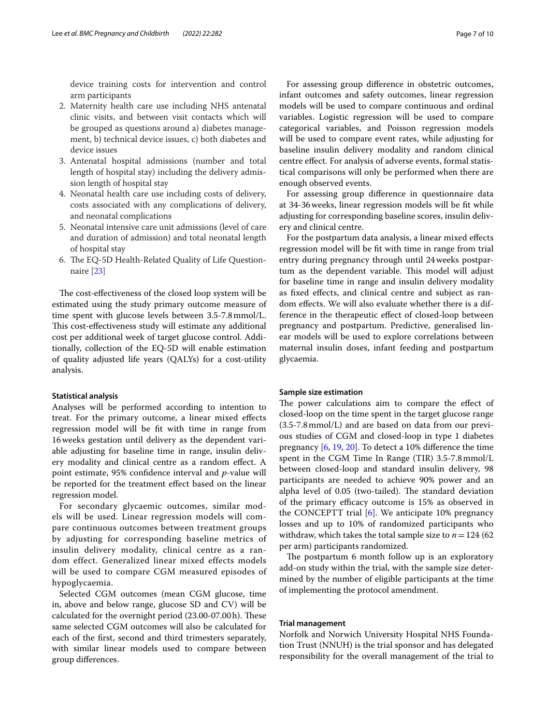device training costs for intervention and control arm participants

- 2. Maternity health care use including NHS antenatal clinic visits, and between visit contacts which will be grouped as questions around a) diabetes management, b) technical device issues, c) both diabetes and device issues
- 3. Antenatal hospital admissions (number and total length of hospital stay) including the delivery admission length of hospital stay
- 4. Neonatal health care use including costs of delivery, costs associated with any complications of delivery, and neonatal complications
- 5. Neonatal intensive care unit admissions (level of care and duration of admission) and total neonatal length of hospital stay
- 6. The EQ-5D Health-Related Quality of Life Questionnaire [\[23](#page-9-5)]

The cost-effectiveness of the closed loop system will be estimated using the study primary outcome measure of time spent with glucose levels between 3.5-7.8mmol/L. This cost-effectiveness study will estimate any additional cost per additional week of target glucose control. Additionally, collection of the EQ-5D will enable estimation of quality adjusted life years (QALYs) for a cost-utility analysis.

#### **Statistical analysis**

Analyses will be performed according to intention to treat. For the primary outcome, a linear mixed efects regression model will be ft with time in range from 16weeks gestation until delivery as the dependent variable adjusting for baseline time in range, insulin delivery modality and clinical centre as a random efect. A point estimate, 95% confdence interval and *p*-value will be reported for the treatment efect based on the linear regression model.

For secondary glycaemic outcomes, similar models will be used. Linear regression models will compare continuous outcomes between treatment groups by adjusting for corresponding baseline metrics of insulin delivery modality, clinical centre as a random effect. Generalized linear mixed effects models will be used to compare CGM measured episodes of hypoglycaemia.

Selected CGM outcomes (mean CGM glucose, time in, above and below range, glucose SD and CV) will be calculated for the overnight period (23.00-07.00h). These same selected CGM outcomes will also be calculated for each of the frst, second and third trimesters separately, with similar linear models used to compare between group diferences.

For assessing group diference in obstetric outcomes, infant outcomes and safety outcomes, linear regression models will be used to compare continuous and ordinal variables. Logistic regression will be used to compare categorical variables, and Poisson regression models will be used to compare event rates, while adjusting for baseline insulin delivery modality and random clinical centre efect. For analysis of adverse events, formal statistical comparisons will only be performed when there are enough observed events.

For assessing group diference in questionnaire data at 34-36weeks, linear regression models will be ft while adjusting for corresponding baseline scores, insulin delivery and clinical centre.

For the postpartum data analysis, a linear mixed efects regression model will be ft with time in range from trial entry during pregnancy through until 24weeks postpartum as the dependent variable. This model will adjust for baseline time in range and insulin delivery modality as fxed efects, and clinical centre and subject as random efects. We will also evaluate whether there is a difference in the therapeutic efect of closed-loop between pregnancy and postpartum. Predictive, generalised linear models will be used to explore correlations between maternal insulin doses, infant feeding and postpartum glycaemia.

### **Sample size estimation**

The power calculations aim to compare the effect of closed-loop on the time spent in the target glucose range (3.5-7.8mmol/L) and are based on data from our previous studies of CGM and closed-loop in type 1 diabetes pregnancy [\[6](#page-8-4), [19,](#page-9-2) [20](#page-9-0)]. To detect a 10% diference the time spent in the CGM Time In Range (TIR) 3.5-7.8mmol/L between closed-loop and standard insulin delivery, 98 participants are needed to achieve 90% power and an alpha level of 0.05 (two-tailed). The standard deviation of the primary efficacy outcome is 15% as observed in the CONCEPTT trial [\[6](#page-8-4)]. We anticipate 10% pregnancy losses and up to 10% of randomized participants who withdraw, which takes the total sample size to  $n = 124 (62)$ per arm) participants randomized.

The postpartum 6 month follow up is an exploratory add-on study within the trial, with the sample size determined by the number of eligible participants at the time of implementing the protocol amendment.

### **Trial management**

Norfolk and Norwich University Hospital NHS Foundation Trust (NNUH) is the trial sponsor and has delegated responsibility for the overall management of the trial to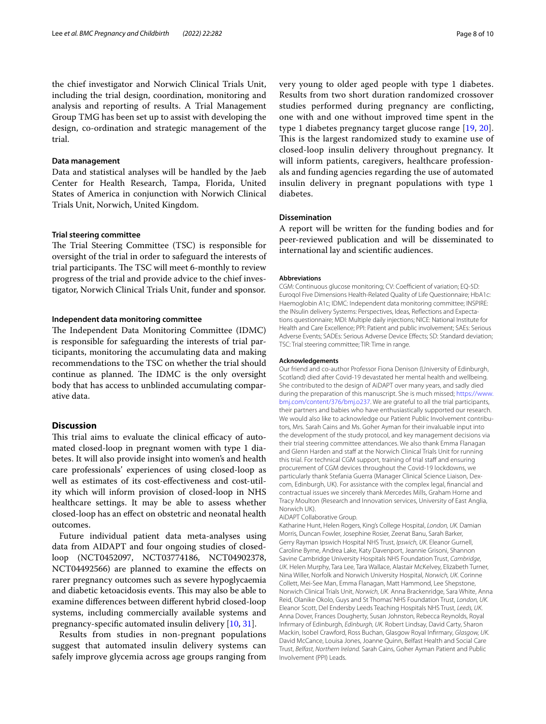the chief investigator and Norwich Clinical Trials Unit, including the trial design, coordination, monitoring and analysis and reporting of results. A Trial Management Group TMG has been set up to assist with developing the design, co-ordination and strategic management of the trial.

### **Data management**

Data and statistical analyses will be handled by the Jaeb Center for Health Research, Tampa, Florida, United States of America in conjunction with Norwich Clinical Trials Unit, Norwich, United Kingdom.

### **Trial steering committee**

The Trial Steering Committee (TSC) is responsible for oversight of the trial in order to safeguard the interests of trial participants. The TSC will meet 6-monthly to review progress of the trial and provide advice to the chief investigator, Norwich Clinical Trials Unit, funder and sponsor.

### **Independent data monitoring committee**

The Independent Data Monitoring Committee (IDMC) is responsible for safeguarding the interests of trial participants, monitoring the accumulating data and making recommendations to the TSC on whether the trial should continue as planned. The IDMC is the only oversight body that has access to unblinded accumulating comparative data.

# **Discussion**

This trial aims to evaluate the clinical efficacy of automated closed-loop in pregnant women with type 1 diabetes. It will also provide insight into women's and health care professionals' experiences of using closed-loop as well as estimates of its cost-efectiveness and cost-utility which will inform provision of closed-loop in NHS healthcare settings. It may be able to assess whether closed-loop has an efect on obstetric and neonatal health outcomes.

Future individual patient data meta-analyses using data from AIDAPT and four ongoing studies of closedloop (NCT0452097, NCT03774186, NCT04902378, NCT04492566) are planned to examine the efects on rarer pregnancy outcomes such as severe hypoglycaemia and diabetic ketoacidosis events. This may also be able to examine diferences between diferent hybrid closed-loop systems, including commercially available systems and pregnancy-specifc automated insulin delivery [\[10](#page-8-13), [31\]](#page-9-12).

Results from studies in non-pregnant populations suggest that automated insulin delivery systems can safely improve glycemia across age groups ranging from very young to older aged people with type 1 diabetes. Results from two short duration randomized crossover studies performed during pregnancy are conficting, one with and one without improved time spent in the type 1 diabetes pregnancy target glucose range [[19,](#page-9-2) [20](#page-9-0)]. This is the largest randomized study to examine use of closed-loop insulin delivery throughout pregnancy. It will inform patients, caregivers, healthcare professionals and funding agencies regarding the use of automated insulin delivery in pregnant populations with type 1 diabetes.

### **Dissemination**

A report will be written for the funding bodies and for peer-reviewed publication and will be disseminated to international lay and scientifc audiences.

#### **Abbreviations**

CGM: Continuous glucose monitoring; CV: Coefficient of variation; EQ-5D: Euroqol Five Dimensions Health-Related Quality of Life Questionnaire; HbA1c: Haemoglobin A1c; IDMC: Independent data monitoring committee; INSPIRE: the INsulin delivery Systems: Perspectives, Ideas, Reflections and Expectations questionnaire; MDI: Multiple daily injections; NICE: National Institute for Health and Care Excellence; PPI: Patient and public involvement; SAEs: Serious Adverse Events; SADEs: Serious Adverse Device Efects; SD: Standard deviation; TSC: Trial steering committee; TIR: Time in range.

#### **Acknowledgements**

Our friend and co-author Professor Fiona Denison (University of Edinburgh, Scotland) died after Covid-19 devastated her mental health and wellbeing. She contributed to the design of AiDAPT over many years, and sadly died during the preparation of this manuscript. She is much missed; [https://www.](https://www.bmj.com/content/376/bmj.o237) [bmj.com/content/376/bmj.o237.](https://www.bmj.com/content/376/bmj.o237) We are grateful to all the trial participants, their partners and babies who have enthusiastically supported our research. We would also like to acknowledge our Patient Public Involvement contributors, Mrs. Sarah Cains and Ms. Goher Ayman for their invaluable input into the development of the study protocol, and key management decisions via their trial steering committee attendances. We also thank Emma Flanagan and Glenn Harden and staff at the Norwich Clinical Trials Unit for running this trial. For technical CGM support, training of trial staff and ensuring procurement of CGM devices throughout the Covid-19 lockdowns, we particularly thank Stefania Guerra (Manager Clinical Science Liaison. Dexcom, Edinburgh, UK). For assistance with the complex legal, fnancial and contractual issues we sincerely thank Mercedes Mills, Graham Horne and Tracy Moulton (Research and Innovation services, University of East Anglia, Norwich UK).

#### AiDAPT Collaborative Group.

Katharine Hunt, Helen Rogers, King's College Hospital, *London, UK*. Damian Morris, Duncan Fowler, Josephine Rosier, Zeenat Banu, Sarah Barker, Gerry Rayman Ipswich Hospital NHS Trust, *Ipswich, UK*. Eleanor Gurnell, Caroline Byrne, Andrea Lake, Katy Davenport, Jeannie Grisoni, Shannon Savine Cambridge University Hospitals NHS Foundation Trust, *Cambridge*, *UK*. Helen Murphy, Tara Lee, Tara Wallace, Alastair McKelvey, Elizabeth Turner, Nina Willer, Norfolk and Norwich University Hospital, *Norwich, UK*. Corinne Collett, Mei-See Man, Emma Flanagan, Matt Hammond, Lee Shepstone, Norwich Clinical Trials Unit, *Norwich, UK.* Anna Brackenridge, Sara White, Anna Reid, Olanike Okolo, Guys and St Thomas' NHS Foundation Trust, *London, UK*. Eleanor Scott, Del Endersby Leeds Teaching Hospitals NHS Trust, *Leeds, UK*. Anna Dover, Frances Dougherty, Susan Johnston, Rebecca Reynolds, Royal Infrmary of Edinburgh, *Edinburgh, UK*. Robert Lindsay, David Carty, Sharon Mackin, Isobel Crawford, Ross Buchan, Glasgow Royal Infrmary, *Glasgow, UK*. David McCance, Louisa Jones, Joanne Quinn, Belfast Health and Social Care Trust, *Belfast, Northern Ireland.* Sarah Cains, Goher Ayman Patient and Public Involvement (PPI) Leads.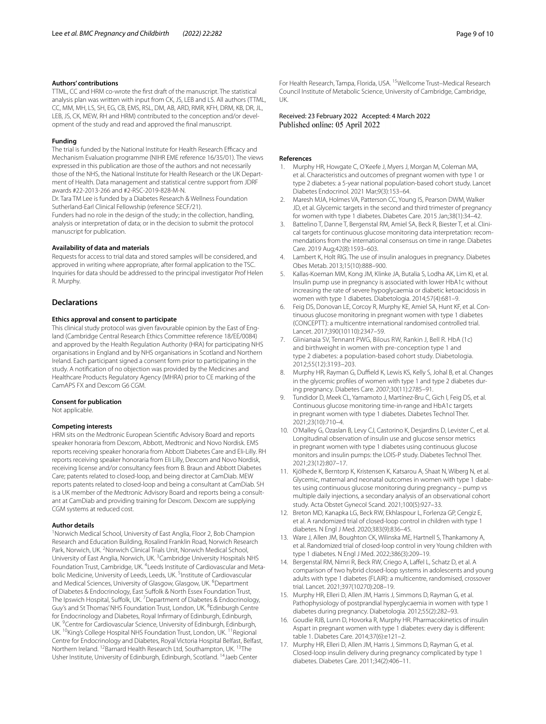### **Authors' contributions**

TTML, CC and HRM co-wrote the frst draft of the manuscript. The statistical analysis plan was written with input from CK, JS, LEB and LS. All authors (TTML, CC, MM, MH, LS, SH, EG, CB, EMS, RSL, DM, AB, ARD, RMR, KFH, DRM, KB, DR, JL, LEB, JS, CK, MEW, RH and HRM) contributed to the conception and/or development of the study and read and approved the fnal manuscript.

#### **Funding**

The trial is funded by the National Institute for Health Research Efficacy and Mechanism Evaluation programme (NIHR EME reference 16/35/01). The views expressed in this publication are those of the authors and not necessarily those of the NHS, the National Institute for Health Research or the UK Department of Health. Data management and statistical centre support from JDRF awards #22-2013-266 and #2-RSC-2019-828-M-N.

Dr. Tara TM Lee is funded by a Diabetes Research & Wellness Foundation Sutherland-Earl Clinical Fellowship (reference SECF/21).

Funders had no role in the design of the study; in the collection, handling, analysis or interpretation of data; or in the decision to submit the protocol manuscript for publication.

### **Availability of data and materials**

Requests for access to trial data and stored samples will be considered, and approved in writing where appropriate, after formal application to the TSC. Inquiries for data should be addressed to the principal investigator Prof Helen R. Murphy.

#### **Declarations**

#### **Ethics approval and consent to participate**

This clinical study protocol was given favourable opinion by the East of England (Cambridge Central Research Ethics Committee reference 18/EE/0084) and approved by the Health Regulation Authority (HRA) for participating NHS organisations in England and by NHS organisations in Scotland and Northern Ireland. Each participant signed a consent form prior to participating in the study. A notifcation of no objection was provided by the Medicines and Healthcare Products Regulatory Agency (MHRA) prior to CE marking of the CamAPS FX and Dexcom G6 CGM.

#### **Consent for publication**

Not applicable.

#### **Competing interests**

HRM sits on the Medtronic European Scientifc Advisory Board and reports speaker honoraria from Dexcom, Abbott, Medtronic and Novo Nordisk. EMS reports receiving speaker honoraria from Abbott Diabetes Care and Eli-Lilly. RH reports receiving speaker honoraria from Eli Lilly, Dexcom and Novo Nordisk, receiving license and/or consultancy fees from B. Braun and Abbott Diabetes Care; patents related to closed-loop, and being director at CamDiab. MEW reports patents related to closed-loop and being a consultant at CamDiab. SH is a UK member of the Medtronic Advisory Board and reports being a consultant at CamDiab and providing training for Dexcom. Dexcom are supplying CGM systems at reduced cost.

#### **Author details**

<sup>1</sup> Norwich Medical School, University of East Anglia, Floor 2, Bob Champion Research and Education Building, Rosalind Franklin Road, Norwich Research Park, Norwich, UK.<sup>2</sup> Norwich Clinical Trials Unit, Norwich Medical School, University of East Anglia, Norwich, UK.<sup>3</sup> Cambridge University Hospitals NHS Foundation Trust, Cambridge, UK. <sup>4</sup> Leeds Institute of Cardiovascular and Metabolic Medicine, University of Leeds, Leeds, UK. <sup>5</sup>Institute of Cardiovascular and Medical Sciences, University of Glasgow, Glasgow, UK. <sup>6</sup>Department of Diabetes & Endocrinology, East Suffolk & North Essex Foundation Trust, The Ipswich Hospital, Suffolk, UK.<sup>7</sup> Department of Diabetes & Endocrinology, Guy's and St Thomas' NHS Foundation Trust, London, UK. <sup>8</sup>Edinburgh Centre for Endocrinology and Diabetes, Royal Infrmary of Edinburgh, Edinburgh, UK. <sup>9</sup> Centre for Cardiovascular Science, University of Edinburgh, Edinburgh, UK. <sup>10</sup>King's College Hospital NHS Foundation Trust, London, UK. <sup>11</sup> Regional Centre for Endocrinology and Diabetes, Royal Victoria Hospital Belfast, Belfast, Northern Ireland. <sup>12</sup>Barnard Health Research Ltd, Southampton, UK. <sup>13</sup>The Usher Institute, University of Edinburgh, Edinburgh, Scotland. 14Jaeb Center

For Health Research, Tampa, Florida, USA. 15Wellcome Trust–Medical Research Council Institute of Metabolic Science, University of Cambridge, Cambridge, UK.

Received: 23 February 2022 Accepted: 4 March 2022 Published online: 05 April 2022

#### **References**

- <span id="page-8-0"></span>1. Murphy HR, Howgate C, O'Keefe J, Myers J, Morgan M, Coleman MA, et al. Characteristics and outcomes of pregnant women with type 1 or type 2 diabetes: a 5-year national population-based cohort study. Lancet Diabetes Endocrinol. 2021 Mar;9(3):153–64.
- <span id="page-8-1"></span>2. Maresh MJA, Holmes VA, Patterson CC, Young IS, Pearson DWM, Walker JD, et al. Glycemic targets in the second and third trimester of pregnancy for women with type 1 diabetes. Diabetes Care. 2015 Jan;38(1):34–42.
- <span id="page-8-2"></span>3. Battelino T, Danne T, Bergenstal RM, Amiel SA, Beck R, Biester T, et al. Clinical targets for continuous glucose monitoring data interpretation: recommendations from the international consensus on time in range. Diabetes Care. 2019 Aug;42(8):1593–603.
- <span id="page-8-3"></span>4. Lambert K, Holt RIG. The use of insulin analogues in pregnancy. Diabetes Obes Metab. 2013;15(10):888–900.
- 5. Kallas-Koeman MM, Kong JM, Klinke JA, Butalia S, Lodha AK, Lim KI, et al. Insulin pump use in pregnancy is associated with lower HbA1c without increasing the rate of severe hypoglycaemia or diabetic ketoacidosis in women with type 1 diabetes. Diabetologia. 2014;57(4):681–9.
- <span id="page-8-4"></span>6. Feig DS, Donovan LE, Corcoy R, Murphy KE, Amiel SA, Hunt KF, et al. Continuous glucose monitoring in pregnant women with type 1 diabetes (CONCEPTT): a multicentre international randomised controlled trial. Lancet. 2017;390(10110):2347–59.
- <span id="page-8-5"></span>7. Glinianaia SV, Tennant PWG, Bilous RW, Rankin J, Bell R. HbA (1c) and birthweight in women with pre-conception type 1 and type 2 diabetes: a population-based cohort study. Diabetologia. 2012;55(12):3193–203.
- <span id="page-8-6"></span>8. Murphy HR, Rayman G, Duffield K, Lewis KS, Kelly S, Johal B, et al. Changes in the glycemic profiles of women with type 1 and type 2 diabetes during pregnancy. Diabetes Care. 2007;30(11):2785–91.
- 9. Tundidor D, Meek CL, Yamamoto J, Martínez-Bru C, Gich I, Feig DS, et al. Continuous glucose monitoring time-in-range and HbA1c targets in pregnant women with type 1 diabetes. Diabetes Technol Ther. 2021;23(10):710–4.
- <span id="page-8-13"></span>10. O'Malley G, Ozaslan B, Levy CJ, Castorino K, Desjardins D, Levister C, et al. Longitudinal observation of insulin use and glucose sensor metrics in pregnant women with type 1 diabetes using continuous glucose monitors and insulin pumps: the LOIS-P study. Diabetes Technol Ther. 2021;23(12):807–17.
- <span id="page-8-7"></span>11. Kjölhede K, Berntorp K, Kristensen K, Katsarou A, Shaat N, Wiberg N, et al. Glycemic, maternal and neonatal outcomes in women with type 1 diabetes using continuous glucose monitoring during pregnancy – pump vs multiple daily injections, a secondary analysis of an observational cohort study. Acta Obstet Gynecol Scand. 2021;100(5):927–33.
- <span id="page-8-8"></span>12. Breton MD, Kanapka LG, Beck RW, Ekhlaspour L, Forlenza GP, Cengiz E, et al. A randomized trial of closed-loop control in children with type 1 diabetes. N Engl J Med. 2020;383(9):836–45.
- 13. Ware J, Allen JM, Boughton CK, Wilinska ME, Hartnell S, Thankamony A, et al. Randomized trial of closed-loop control in very Young children with type 1 diabetes. N Engl J Med. 2022;386(3):209–19.
- <span id="page-8-9"></span>14. Bergenstal RM, Nimri R, Beck RW, Criego A, Laffel L, Schatz D, et al. A comparison of two hybrid closed-loop systems in adolescents and young adults with type 1 diabetes (FLAIR): a multicentre, randomised, crossover trial. Lancet. 2021;397(10270):208–19.
- <span id="page-8-10"></span>15. Murphy HR, Elleri D, Allen JM, Harris J, Simmons D, Rayman G, et al. Pathophysiology of postprandial hyperglycaemia in women with type 1 diabetes during pregnancy. Diabetologia. 2012;55(2):282–93.
- <span id="page-8-11"></span>16. Goudie RJB, Lunn D, Hovorka R, Murphy HR. Pharmacokinetics of insulin Aspart in pregnant women with type 1 diabetes: every day is diferent: table 1. Diabetes Care. 2014;37(6):e121–2.
- <span id="page-8-12"></span>17. Murphy HR, Elleri D, Allen JM, Harris J, Simmons D, Rayman G, et al. Closed-loop insulin delivery during pregnancy complicated by type 1 diabetes. Diabetes Care. 2011;34(2):406–11.